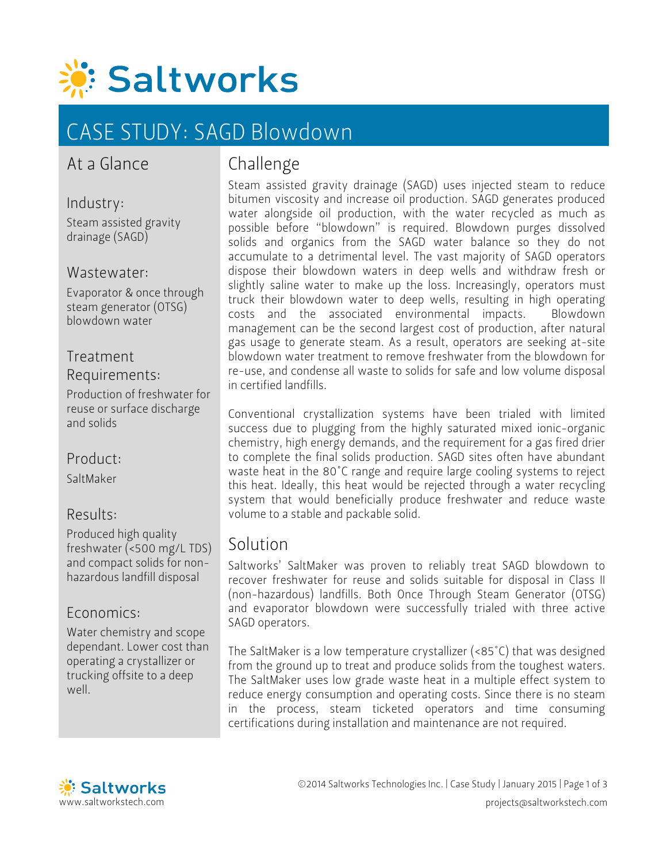

# CASE STUDY: SAGD Blowdown

## At a Glance

Industry: Steam assisted gravity drainage (SAGD)

#### Wastewater:

Evaporator & once through steam generator (OTSG) blowdown water

#### Treatment Requirements:

Production of freshwater for reuse or surface discharge and solids

### Product:

SaltMaker

#### Results:

Produced high quality freshwater (<500 mg/L TDS) and compact solids for nonhazardous landfill disposal

#### Economics:

Water chemistry and scope dependant. Lower cost than operating a crystallizer or trucking offsite to a deep well.

## Challenge

Steam assisted gravity drainage (SAGD) uses injected steam to reduce bitumen viscosity and increase oil production. SAGD generates produced water alongside oil production, with the water recycled as much as possible before "blowdown" is required. Blowdown purges dissolved solids and organics from the SAGD water balance so they do not accumulate to a detrimental level. The vast majority of SAGD operators dispose their blowdown waters in deep wells and withdraw fresh or slightly saline water to make up the loss. Increasingly, operators must truck their blowdown water to deep wells, resulting in high operating costs and the associated environmental impacts. Blowdown management can be the second largest cost of production, after natural gas usage to generate steam. As a result, operators are seeking at-site blowdown water treatment to remove freshwater from the blowdown for re-use, and condense all waste to solids for safe and low volume disposal in certified landfills.

Conventional crystallization systems have been trialed with limited success due to plugging from the highly saturated mixed ionic-organic chemistry, high energy demands, and the requirement for a gas fired drier to complete the final solids production. SAGD sites often have abundant waste heat in the 80°C range and require large cooling systems to reject this heat. Ideally, this heat would be rejected through a water recycling system that would beneficially produce freshwater and reduce waste volume to a stable and packable solid.

## Solution

Saltworks' SaltMaker was proven to reliably treat SAGD blowdown to recover freshwater for reuse and solids suitable for disposal in Class II (non-hazardous) landfills. Both Once Through Steam Generator (OTSG) and evaporator blowdown were successfully trialed with three active SAGD operators.

The SaltMaker is a low temperature crystallizer (<85°C) that was designed from the ground up to treat and produce solids from the toughest waters. The SaltMaker uses low grade waste heat in a multiple effect system to reduce energy consumption and operating costs. Since there is no steam in the process, steam ticketed operators and time consuming certifications during installation and maintenance are not required.

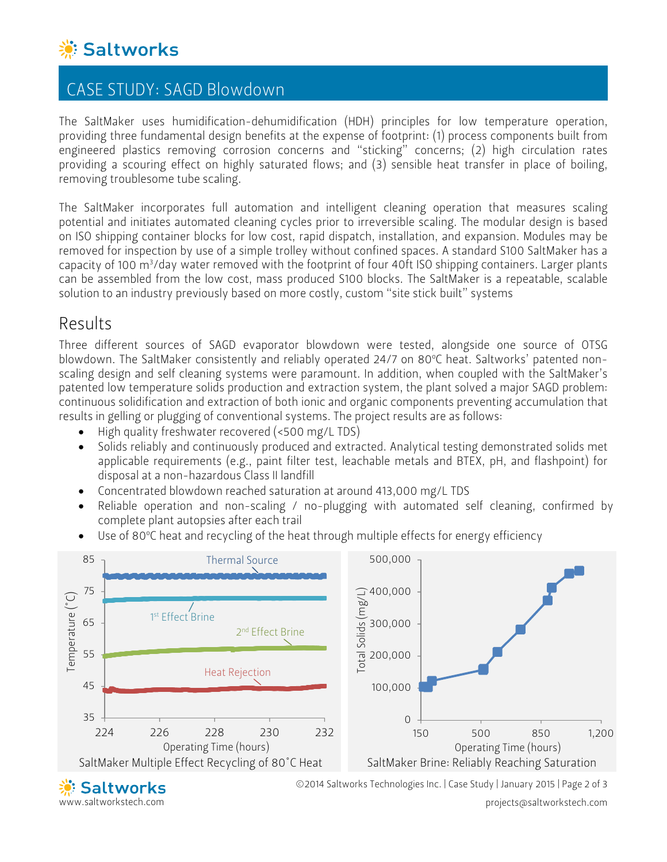

## CASE STUDY: SAGD Blowdown

The SaltMaker uses humidification-dehumidification (HDH) principles for low temperature operation, providing three fundamental design benefits at the expense of footprint: (1) process components built from engineered plastics removing corrosion concerns and "sticking" concerns; (2) high circulation rates providing a scouring effect on highly saturated flows; and (3) sensible heat transfer in place of boiling, removing troublesome tube scaling.

The SaltMaker incorporates full automation and intelligent cleaning operation that measures scaling potential and initiates automated cleaning cycles prior to irreversible scaling. The modular design is based on ISO shipping container blocks for low cost, rapid dispatch, installation, and expansion. Modules may be removed for inspection by use of a simple trolley without confined spaces. A standard S100 SaltMaker has a capacity of 100 m3 /day water removed with the footprint of four 40ft ISO shipping containers. Larger plants can be assembled from the low cost, mass produced S100 blocks. The SaltMaker is a repeatable, scalable solution to an industry previously based on more costly, custom "site stick built" systems

## Results

Three different sources of SAGD evaporator blowdown were tested, alongside one source of OTSG blowdown. The SaltMaker consistently and reliably operated 24/7 on 80°C heat. Saltworks' patented nonscaling design and self cleaning systems were paramount. In addition, when coupled with the SaltMaker's patented low temperature solids production and extraction system, the plant solved a major SAGD problem: continuous solidification and extraction of both ionic and organic components preventing accumulation that results in gelling or plugging of conventional systems. The project results are as follows:

- High quality freshwater recovered (<500 mg/L TDS)
- Solids reliably and continuously produced and extracted. Analytical testing demonstrated solids met applicable requirements (e.g., paint filter test, leachable metals and BTEX, pH, and flashpoint) for disposal at a non-hazardous Class II landfill
- Concentrated blowdown reached saturation at around 413,000 mg/L TDS
- Reliable operation and non-scaling / no-plugging with automated self cleaning, confirmed by complete plant autopsies after each trail
- $\bullet$  Use of 80°C heat and recycling of the heat through multiple effects for energy efficiency



www.saltworkstech.com

projects@saltworkstech.com